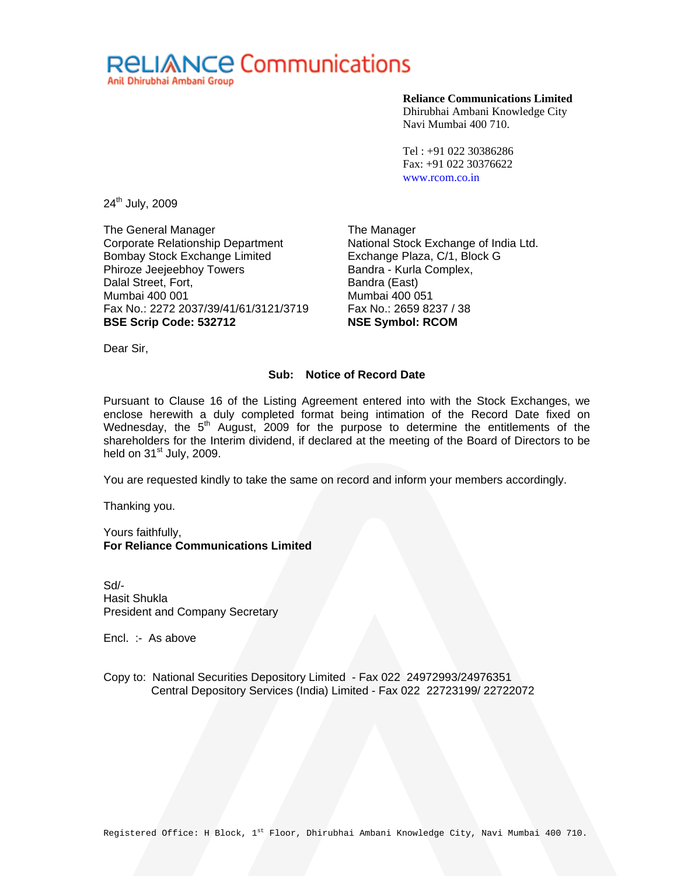

#### **Reliance Communications Limited**

Dhirubhai Ambani Knowledge City Navi Mumbai 400 710.

Tel : +91 022 30386286 Fax: +91 022 30376622 www.rcom.co.in

24<sup>th</sup> July, 2009

The General Manager Corporate Relationship Department Bombay Stock Exchange Limited Phiroze Jeejeebhoy Towers Dalal Street, Fort, Mumbai 400 001 Fax No.: 2272 2037/39/41/61/3121/3719 **BSE Scrip Code: 532712** 

The Manager National Stock Exchange of India Ltd. Exchange Plaza, C/1, Block G Bandra - Kurla Complex, Bandra (East) Mumbai 400 051 Fax No.: 2659 8237 / 38 **NSE Symbol: RCOM** 

Dear Sir,

### **Sub: Notice of Record Date**

Pursuant to Clause 16 of the Listing Agreement entered into with the Stock Exchanges, we enclose herewith a duly completed format being intimation of the Record Date fixed on Wednesday, the  $5<sup>th</sup>$  August, 2009 for the purpose to determine the entitlements of the shareholders for the Interim dividend, if declared at the meeting of the Board of Directors to be held on  $31<sup>st</sup>$  July, 2009.

You are requested kindly to take the same on record and inform your members accordingly.

Thanking you.

Yours faithfully, **For Reliance Communications Limited** 

Sd/- Hasit Shukla President and Company Secretary

Encl. :- As above

Copy to: National Securities Depository Limited - Fax 022 24972993/24976351 Central Depository Services (India) Limited - Fax 022 22723199/ 22722072